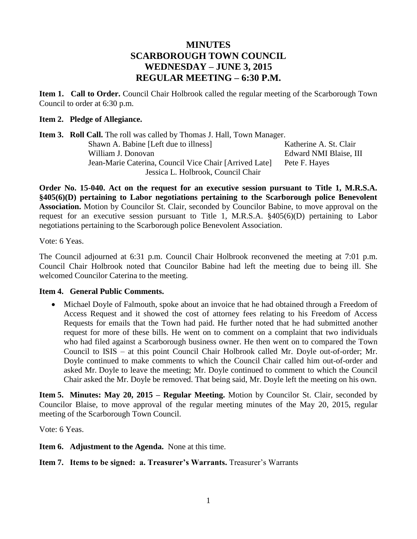# **MINUTES SCARBOROUGH TOWN COUNCIL WEDNESDAY – JUNE 3, 2015 REGULAR MEETING – 6:30 P.M.**

**Item 1. Call to Order.** Council Chair Holbrook called the regular meeting of the Scarborough Town Council to order at 6:30 p.m.

# **Item 2. Pledge of Allegiance.**

| <b>Item 3. Roll Call.</b> The roll was called by Thomas J. Hall, Town Manager. |                        |  |  |  |  |
|--------------------------------------------------------------------------------|------------------------|--|--|--|--|
| Shawn A. Babine [Left due to illness]                                          | Katherine A. St. Clair |  |  |  |  |
| William J. Donovan                                                             | Edward NMI Blaise, III |  |  |  |  |
| Jean-Marie Caterina, Council Vice Chair [Arrived Late]                         | Pete F. Hayes          |  |  |  |  |
| Jessica L. Holbrook, Council Chair                                             |                        |  |  |  |  |

**Order No. 15-040. Act on the request for an executive session pursuant to Title 1, M.R.S.A. §405(6)(D) pertaining to Labor negotiations pertaining to the Scarborough police Benevolent Association.** Motion by Councilor St. Clair, seconded by Councilor Babine, to move approval on the request for an executive session pursuant to Title 1, M.R.S.A.  $\frac{100}{100}$  pertaining to Labor negotiations pertaining to the Scarborough police Benevolent Association.

Vote: 6 Yeas.

The Council adjourned at 6:31 p.m. Council Chair Holbrook reconvened the meeting at 7:01 p.m. Council Chair Holbrook noted that Councilor Babine had left the meeting due to being ill. She welcomed Councilor Caterina to the meeting.

# **Item 4. General Public Comments.**

• Michael Doyle of Falmouth, spoke about an invoice that he had obtained through a Freedom of Access Request and it showed the cost of attorney fees relating to his Freedom of Access Requests for emails that the Town had paid. He further noted that he had submitted another request for more of these bills. He went on to comment on a complaint that two individuals who had filed against a Scarborough business owner. He then went on to compared the Town Council to ISIS – at this point Council Chair Holbrook called Mr. Doyle out-of-order; Mr. Doyle continued to make comments to which the Council Chair called him out-of-order and asked Mr. Doyle to leave the meeting; Mr. Doyle continued to comment to which the Council Chair asked the Mr. Doyle be removed. That being said, Mr. Doyle left the meeting on his own.

**Item 5. Minutes: May 20, 2015 – Regular Meeting.** Motion by Councilor St. Clair, seconded by Councilor Blaise, to move approval of the regular meeting minutes of the May 20, 2015, regular meeting of the Scarborough Town Council.

Vote: 6 Yeas.

**Item 6. Adjustment to the Agenda.** None at this time.

# **Item 7. Items to be signed: a. Treasurer's Warrants.** Treasurer's Warrants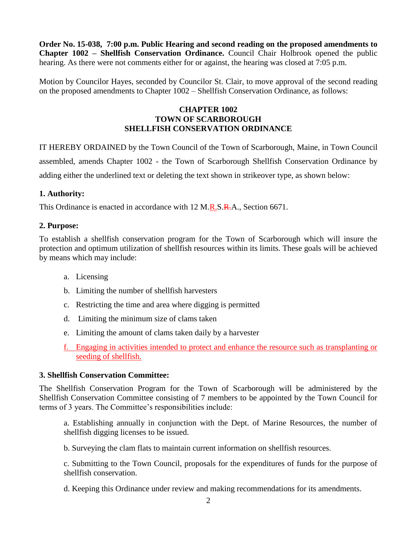**Order No. 15-038, 7:00 p.m. Public Hearing and second reading on the proposed amendments to Chapter 1002 – Shellfish Conservation Ordinance.** Council Chair Holbrook opened the public hearing. As there were not comments either for or against, the hearing was closed at 7:05 p.m.

Motion by Councilor Hayes, seconded by Councilor St. Clair, to move approval of the second reading on the proposed amendments to Chapter 1002 – Shellfish Conservation Ordinance, as follows:

# **CHAPTER 1002 TOWN OF SCARBOROUGH SHELLFISH CONSERVATION ORDINANCE**

IT HEREBY ORDAINED by the Town Council of the Town of Scarborough, Maine, in Town Council assembled, amends Chapter 1002 - the Town of Scarborough Shellfish Conservation Ordinance by adding either the underlined text or deleting the text shown in strikeover type, as shown below:

# **1. Authority:**

This Ordinance is enacted in accordance with 12 M.R.S.R.A., Section 6671.

# **2. Purpose:**

To establish a shellfish conservation program for the Town of Scarborough which will insure the protection and optimum utilization of shellfish resources within its limits. These goals will be achieved by means which may include:

- a. Licensing
- b. Limiting the number of shellfish harvesters
- c. Restricting the time and area where digging is permitted
- d. Limiting the minimum size of clams taken
- e. Limiting the amount of clams taken daily by a harvester
- f. Engaging in activities intended to protect and enhance the resource such as transplanting or seeding of shellfish.

## **3. Shellfish Conservation Committee:**

The Shellfish Conservation Program for the Town of Scarborough will be administered by the Shellfish Conservation Committee consisting of 7 members to be appointed by the Town Council for terms of 3 years. The Committee's responsibilities include:

a. Establishing annually in conjunction with the Dept. of Marine Resources, the number of shellfish digging licenses to be issued.

b. Surveying the clam flats to maintain current information on shellfish resources.

c. Submitting to the Town Council, proposals for the expenditures of funds for the purpose of shellfish conservation.

d. Keeping this Ordinance under review and making recommendations for its amendments.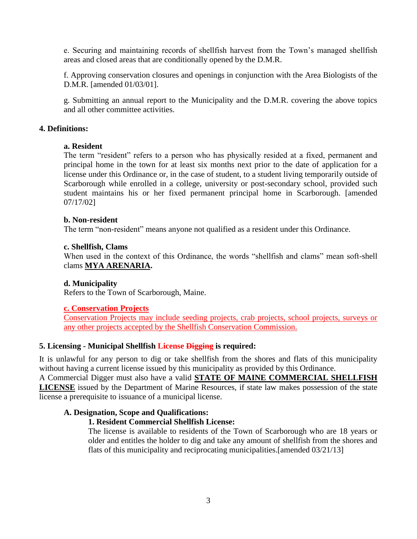e. Securing and maintaining records of shellfish harvest from the Town's managed shellfish areas and closed areas that are conditionally opened by the D.M.R.

f. Approving conservation closures and openings in conjunction with the Area Biologists of the D.M.R. [amended 01/03/01].

g. Submitting an annual report to the Municipality and the D.M.R. covering the above topics and all other committee activities.

## **4. Definitions:**

## **a. Resident**

The term "resident" refers to a person who has physically resided at a fixed, permanent and principal home in the town for at least six months next prior to the date of application for a license under this Ordinance or, in the case of student, to a student living temporarily outside of Scarborough while enrolled in a college, university or post-secondary school, provided such student maintains his or her fixed permanent principal home in Scarborough. [amended 07/17/02]

## **b. Non-resident**

The term "non-resident" means anyone not qualified as a resident under this Ordinance.

## **c. Shellfish, Clams**

When used in the context of this Ordinance, the words "shellfish and clams" mean soft-shell clams **MYA ARENARIA.**

## **d. Municipality**

Refers to the Town of Scarborough, Maine.

## **c. Conservation Projects**

Conservation Projects may include seeding projects, crab projects, school projects, surveys or any other projects accepted by the Shellfish Conservation Commission.

## **5. Licensing - Municipal Shellfish License Digging is required:**

It is unlawful for any person to dig or take shellfish from the shores and flats of this municipality without having a current license issued by this municipality as provided by this Ordinance. A Commercial Digger must also have a valid **STATE OF MAINE COMMERCIAL SHELLFISH** 

**LICENSE** issued by the Department of Marine Resources, if state law makes possession of the state license a prerequisite to issuance of a municipal license.

## **A. Designation, Scope and Qualifications:**

## **1. Resident Commercial Shellfish License:**

The license is available to residents of the Town of Scarborough who are 18 years or older and entitles the holder to dig and take any amount of shellfish from the shores and flats of this municipality and reciprocating municipalities.[amended 03/21/13]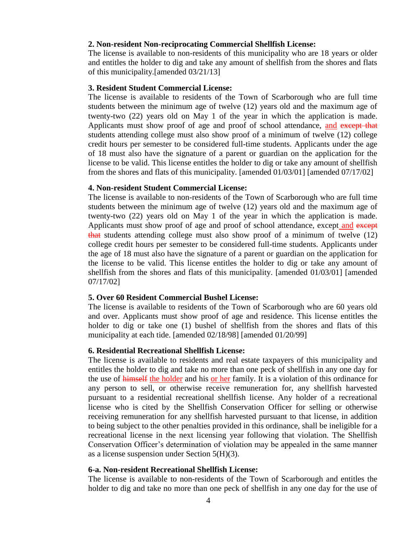### **2. Non-resident Non-reciprocating Commercial Shellfish License:**

The license is available to non-residents of this municipality who are 18 years or older and entitles the holder to dig and take any amount of shellfish from the shores and flats of this municipality.[amended 03/21/13]

### **3. Resident Student Commercial License:**

The license is available to residents of the Town of Scarborough who are full time students between the minimum age of twelve (12) years old and the maximum age of twenty-two (22) years old on May 1 of the year in which the application is made. Applicants must show proof of age and proof of school attendance, and except that students attending college must also show proof of a minimum of twelve (12) college credit hours per semester to be considered full-time students. Applicants under the age of 18 must also have the signature of a parent or guardian on the application for the license to be valid. This license entitles the holder to dig or take any amount of shellfish from the shores and flats of this municipality. [amended 01/03/01] [amended 07/17/02]

### **4. Non-resident Student Commercial License:**

The license is available to non-residents of the Town of Scarborough who are full time students between the minimum age of twelve (12) years old and the maximum age of twenty-two (22) years old on May 1 of the year in which the application is made. Applicants must show proof of age and proof of school attendance, except and except that students attending college must also show proof of a minimum of twelve (12) college credit hours per semester to be considered full-time students. Applicants under the age of 18 must also have the signature of a parent or guardian on the application for the license to be valid. This license entitles the holder to dig or take any amount of shellfish from the shores and flats of this municipality. [amended 01/03/01] [amended 07/17/02]

#### **5. Over 60 Resident Commercial Bushel License:**

The license is available to residents of the Town of Scarborough who are 60 years old and over. Applicants must show proof of age and residence. This license entitles the holder to dig or take one (1) bushel of shellfish from the shores and flats of this municipality at each tide. [amended 02/18/98] [amended 01/20/99]

#### **6. Residential Recreational Shellfish License:**

The license is available to residents and real estate taxpayers of this municipality and entitles the holder to dig and take no more than one peck of shellfish in any one day for the use of himself the holder and his or her family. It is a violation of this ordinance for any person to sell, or otherwise receive remuneration for, any shellfish harvested pursuant to a residential recreational shellfish license. Any holder of a recreational license who is cited by the Shellfish Conservation Officer for selling or otherwise receiving remuneration for any shellfish harvested pursuant to that license, in addition to being subject to the other penalties provided in this ordinance, shall be ineligible for a recreational license in the next licensing year following that violation. The Shellfish Conservation Officer's determination of violation may be appealed in the same manner as a license suspension under Section 5(H)(3).

## **6-a. Non-resident Recreational Shellfish License:**

The license is available to non-residents of the Town of Scarborough and entitles the holder to dig and take no more than one peck of shellfish in any one day for the use of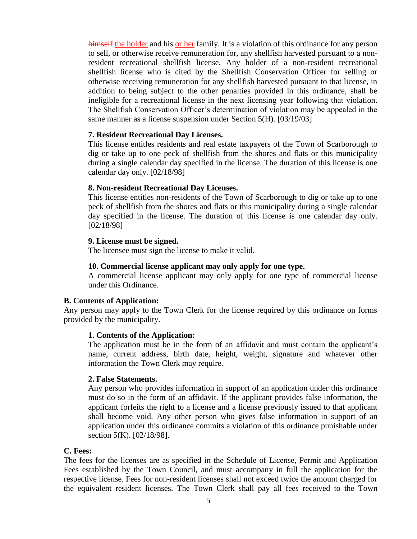himself the holder and his or her family. It is a violation of this ordinance for any person to sell, or otherwise receive remuneration for, any shellfish harvested pursuant to a nonresident recreational shellfish license. Any holder of a non-resident recreational shellfish license who is cited by the Shellfish Conservation Officer for selling or otherwise receiving remuneration for any shellfish harvested pursuant to that license, in addition to being subject to the other penalties provided in this ordinance, shall be ineligible for a recreational license in the next licensing year following that violation. The Shellfish Conservation Officer's determination of violation may be appealed in the same manner as a license suspension under Section 5(H). [03/19/03]

## **7. Resident Recreational Day Licenses.**

This license entitles residents and real estate taxpayers of the Town of Scarborough to dig or take up to one peck of shellfish from the shores and flats or this municipality during a single calendar day specified in the license. The duration of this license is one calendar day only. [02/18/98]

#### **8. Non-resident Recreational Day Licenses.**

This license entitles non-residents of the Town of Scarborough to dig or take up to one peck of shellfish from the shores and flats or this municipality during a single calendar day specified in the license. The duration of this license is one calendar day only. [02/18/98]

## **9. License must be signed.**

The licensee must sign the license to make it valid.

## **10. Commercial license applicant may only apply for one type.**

A commercial license applicant may only apply for one type of commercial license under this Ordinance.

#### **B. Contents of Application:**

Any person may apply to the Town Clerk for the license required by this ordinance on forms provided by the municipality.

## **1. Contents of the Application:**

The application must be in the form of an affidavit and must contain the applicant's name, current address, birth date, height, weight, signature and whatever other information the Town Clerk may require.

#### **2. False Statements.**

Any person who provides information in support of an application under this ordinance must do so in the form of an affidavit. If the applicant provides false information, the applicant forfeits the right to a license and a license previously issued to that applicant shall become void. Any other person who gives false information in support of an application under this ordinance commits a violation of this ordinance punishable under section 5(K). [02/18/98].

#### **C. Fees:**

The fees for the licenses are as specified in the Schedule of License, Permit and Application Fees established by the Town Council, and must accompany in full the application for the respective license. Fees for non-resident licenses shall not exceed twice the amount charged for the equivalent resident licenses. The Town Clerk shall pay all fees received to the Town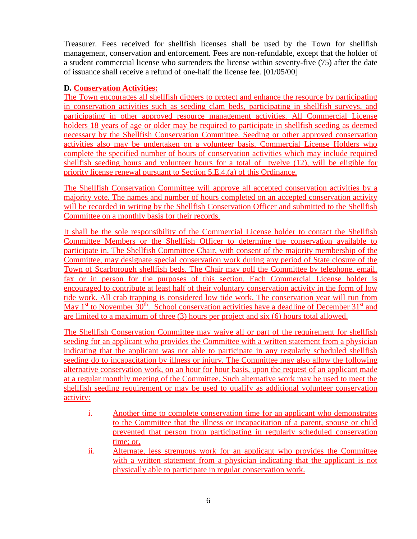Treasurer. Fees received for shellfish licenses shall be used by the Town for shellfish management, conservation and enforcement. Fees are non-refundable, except that the holder of a student commercial license who surrenders the license within seventy-five (75) after the date of issuance shall receive a refund of one-half the license fee. [01/05/00]

# **D. Conservation Activities:**

The Town encourages all shellfish diggers to protect and enhance the resource by participating in conservation activities such as seeding clam beds, participating in shellfish surveys, and participating in other approved resource management activities. All Commercial License holders 18 years of age or older may be required to participate in shellfish seeding as deemed necessary by the Shellfish Conservation Committee. Seeding or other approved conservation activities also may be undertaken on a volunteer basis. Commercial License Holders who complete the specified number of hours of conservation activities which may include required shellfish seeding hours and volunteer hours for a total of twelve (12), will be eligible for priority license renewal pursuant to Section 5.E.4.(a) of this Ordinance.

The Shellfish Conservation Committee will approve all accepted conservation activities by a majority vote. The names and number of hours completed on an accepted conservation activity will be recorded in writing by the Shellfish Conservation Officer and submitted to the Shellfish Committee on a monthly basis for their records.

It shall be the sole responsibility of the Commercial License holder to contact the Shellfish Committee Members or the Shellfish Officer to determine the conservation available to participate in. The Shellfish Committee Chair, with consent of the majority membership of the Committee, may designate special conservation work during any period of State closure of the Town of Scarborough shellfish beds. The Chair may poll the Committee by telephone, email, fax or in person for the purposes of this section. Each Commercial License holder is encouraged to contribute at least half of their voluntary conservation activity in the form of low tide work. All crab trapping is considered low tide work. The conservation year will run from May  $1<sup>st</sup>$  to November 30<sup>th</sup>. School conservation activities have a deadline of December 31<sup>st</sup> and are limited to a maximum of three (3) hours per project and six (6) hours total allowed.

The Shellfish Conservation Committee may waive all or part of the requirement for shellfish seeding for an applicant who provides the Committee with a written statement from a physician indicating that the applicant was not able to participate in any regularly scheduled shellfish seeding do to incapacitation by illness or injury. The Committee may also allow the following alternative conservation work, on an hour for hour basis, upon the request of an applicant made at a regular monthly meeting of the Committee. Such alternative work may be used to meet the shellfish seeding requirement or may be used to qualify as additional volunteer conservation activity:

- i. Another time to complete conservation time for an applicant who demonstrates to the Committee that the illness or incapacitation of a parent, spouse or child prevented that person from participating in regularly scheduled conservation time; or,
- ii. Alternate, less strenuous work for an applicant who provides the Committee with a written statement from a physician indicating that the applicant is not physically able to participate in regular conservation work.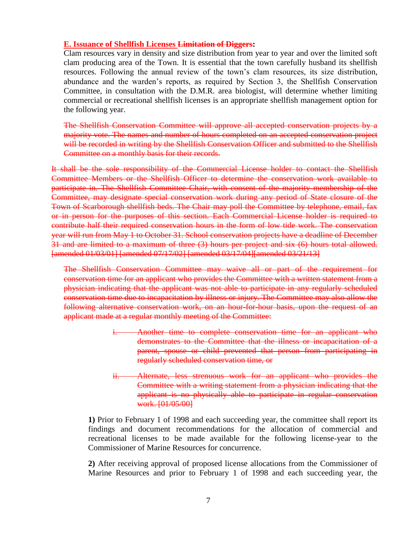### **E. Issuance of Shellfish Licenses Limitation of Diggers:**

Clam resources vary in density and size distribution from year to year and over the limited soft clam producing area of the Town. It is essential that the town carefully husband its shellfish resources. Following the annual review of the town's clam resources, its size distribution, abundance and the warden's reports, as required by Section 3, the Shellfish Conservation Committee, in consultation with the D.M.R. area biologist, will determine whether limiting commercial or recreational shellfish licenses is an appropriate shellfish management option for the following year.

The Shellfish Conservation Committee will approve all accepted conservation projects by a majority vote. The names and number of hours completed on an accepted conservation project will be recorded in writing by the Shellfish Conservation Officer and submitted to the Shellfish Committee on a monthly basis for their records.

It shall be the sole responsibility of the Commercial License holder to contact the Shellfish Committee Members or the Shellfish Officer to determine the conservation work available to participate in. The Shellfish Committee Chair, with consent of the majority membership of the Committee, may designate special conservation work during any period of State closure of the Town of Scarborough shellfish beds. The Chair may poll the Committee by telephone, email, fax or in person for the purposes of this section. Each Commercial License holder is required to contribute half their required conservation hours in the form of low tide work. The conservation year will run from May 1 to October 31. School conservation projects have a deadline of December 31 and are limited to a maximum of three (3) hours per project and six (6) hours total allowed. [amended 01/03/01] [amended 07/17/02] [amended 03/17/04][amended 03/21/13]

The Shellfish Conservation Committee may waive all or part of the requirement for conservation time for an applicant who provides the Committee with a written statement from a physician indicating that the applicant was not able to participate in any regularly scheduled conservation time due to incapacitation by illness or injury. The Committee may also allow the following alternative conservation work, on an hour-for-hour basis, upon the request of an applicant made at a regular monthly meeting of the Committee:

- i. Another time to complete conservation time for an applicant who demonstrates to the Committee that the illness or incapacitation of a parent, spouse or child prevented that person from participating in regularly scheduled conservation time, or
- ii. Alternate, less strenuous work for an applicant who provides the Committee with a writing statement from a physician indicating that the applicant is no physically able to participate in regular conservation work. [01/05/00]

**1)** Prior to February 1 of 1998 and each succeeding year, the committee shall report its findings and document recommendations for the allocation of commercial and recreational licenses to be made available for the following license-year to the Commissioner of Marine Resources for concurrence.

**2)** After receiving approval of proposed license allocations from the Commissioner of Marine Resources and prior to February 1 of 1998 and each succeeding year, the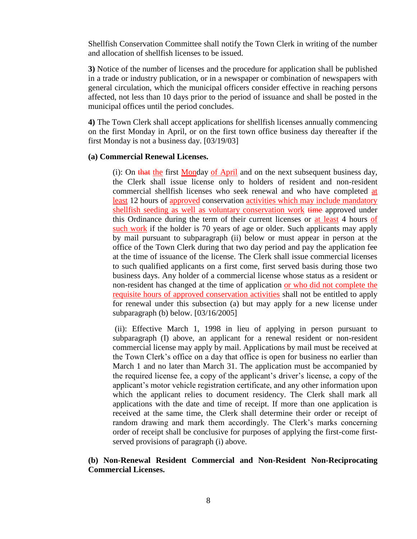Shellfish Conservation Committee shall notify the Town Clerk in writing of the number and allocation of shellfish licenses to be issued.

**3)** Notice of the number of licenses and the procedure for application shall be published in a trade or industry publication, or in a newspaper or combination of newspapers with general circulation, which the municipal officers consider effective in reaching persons affected, not less than 10 days prior to the period of issuance and shall be posted in the municipal offices until the period concludes.

**4)** The Town Clerk shall accept applications for shellfish licenses annually commencing on the first Monday in April, or on the first town office business day thereafter if the first Monday is not a business day. [03/19/03]

## **(a) Commercial Renewal Licenses.**

(i): On that the first Monday of April and on the next subsequent business day, the Clerk shall issue license only to holders of resident and non-resident commercial shellfish licenses who seek renewal and who have completed at least 12 hours of approved conservation activities which may include mandatory shellfish seeding as well as voluntary conservation work time approved under this Ordinance during the term of their current licenses or at least 4 hours of such work if the holder is 70 years of age or older. Such applicants may apply by mail pursuant to subparagraph (ii) below or must appear in person at the office of the Town Clerk during that two day period and pay the application fee at the time of issuance of the license. The Clerk shall issue commercial licenses to such qualified applicants on a first come, first served basis during those two business days. Any holder of a commercial license whose status as a resident or non-resident has changed at the time of application or who did not complete the requisite hours of approved conservation activities shall not be entitled to apply for renewal under this subsection (a) but may apply for a new license under subparagraph (b) below. [03/16/2005]

(ii): Effective March 1, 1998 in lieu of applying in person pursuant to subparagraph (I) above, an applicant for a renewal resident or non-resident commercial license may apply by mail. Applications by mail must be received at the Town Clerk's office on a day that office is open for business no earlier than March 1 and no later than March 31. The application must be accompanied by the required license fee, a copy of the applicant's driver's license, a copy of the applicant's motor vehicle registration certificate, and any other information upon which the applicant relies to document residency. The Clerk shall mark all applications with the date and time of receipt. If more than one application is received at the same time, the Clerk shall determine their order or receipt of random drawing and mark them accordingly. The Clerk's marks concerning order of receipt shall be conclusive for purposes of applying the first-come firstserved provisions of paragraph (i) above.

# **(b) Non-Renewal Resident Commercial and Non-Resident Non-Reciprocating Commercial Licenses.**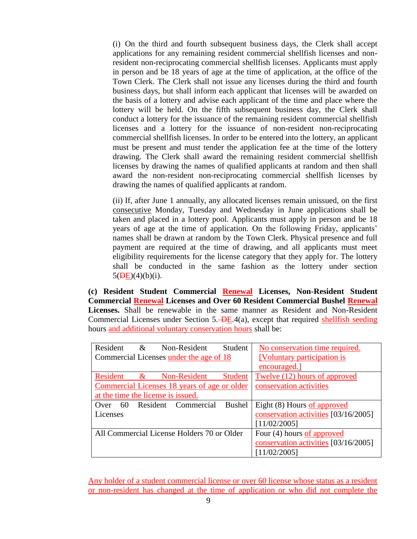(i) On the third and fourth subsequent business days, the Clerk shall accept applications for any remaining resident commercial shellfish licenses and nonresident non-reciprocating commercial shellfish licenses. Applicants must apply in person and be 18 years of age at the time of application, at the office of the Town Clerk. The Clerk shall not issue any licenses during the third and fourth business days, but shall inform each applicant that licenses will be awarded on the basis of a lottery and advise each applicant of the time and place where the lottery will be held. On the fifth subsequent business day, the Clerk shall conduct a lottery for the issuance of the remaining resident commercial shellfish licenses and a lottery for the issuance of non-resident non-reciprocating commercial shellfish licenses. In order to be entered into the lottery, an applicant must be present and must tender the application fee at the time of the lottery drawing. The Clerk shall award the remaining resident commercial shellfish licenses by drawing the names of qualified applicants at random and then shall award the non-resident non-reciprocating commercial shellfish licenses by drawing the names of qualified applicants at random.

(ii) If, after June 1 annually, any allocated licenses remain unissued, on the first consecutive Monday, Tuesday and Wednesday in June applications shall be taken and placed in a lottery pool. Applicants must apply in person and be 18 years of age at the time of application. On the following Friday, applicants' names shall be drawn at random by the Town Clerk. Physical presence and full payment are required at the time of drawing, and all applicants must meet eligibility requirements for the license category that they apply for. The lottery shall be conducted in the same fashion as the lottery under section  $5(**DE**)(4)(b)(i).$ 

**(c) Resident Student Commercial Renewal Licenses, Non-Resident Student Commercial Renewal Licenses and Over 60 Resident Commercial Bushel Renewal Licenses.** Shall be renewable in the same manner as Resident and Non-Resident Commercial Licenses under Section  $5.\overline{\triangleleft}B.4(a)$ , except that required shellfish seeding hours and additional voluntary conservation hours shall be:

| Resident                                     | $\mathcal{R}$ |  | Non-Resident        | Student                              | No conservation time required.       |
|----------------------------------------------|---------------|--|---------------------|--------------------------------------|--------------------------------------|
| Commercial Licenses under the age of 18      |               |  |                     | [Voluntary participation is          |                                      |
|                                              |               |  |                     |                                      | encouraged.                          |
| <b>Resident</b>                              | $\&$          |  | Non-Resident        | Student                              | Twelve (12) hours of approved        |
| Commercial Licenses 18 years of age or older |               |  |                     | conservation activities              |                                      |
| at the time the license is issued.           |               |  |                     |                                      |                                      |
| 60<br>Over                                   |               |  | Resident Commercial | <b>Bushel</b>                        | Eight (8) Hours of approved          |
| Licenses                                     |               |  |                     | conservation activities [03/16/2005] |                                      |
|                                              |               |  |                     |                                      | [11/02/2005]                         |
| All Commercial License Holders 70 or Older   |               |  |                     | Four (4) hours of approved           |                                      |
|                                              |               |  |                     |                                      | conservation activities [03/16/2005] |
|                                              |               |  |                     |                                      | [11/02/2005]                         |

Any holder of a student commercial license or over 60 license whose status as a resident or non-resident has changed at the time of application or who did not complete the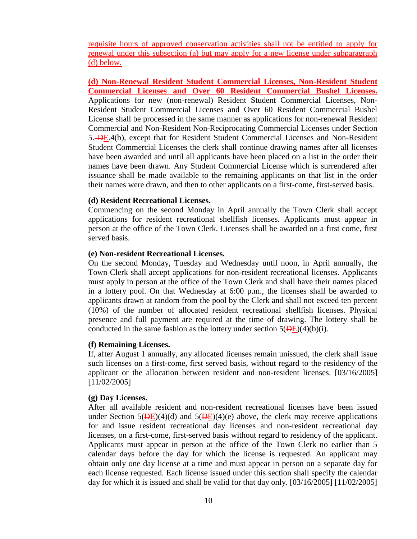requisite hours of approved conservation activities shall not be entitled to apply for renewal under this subsection (a) but may apply for a new license under subparagraph (d) below.

**(d) Non-Renewal Resident Student Commercial Licenses, Non-Resident Student Commercial Licenses and Over 60 Resident Commercial Bushel Licenses.** Applications for new (non-renewal) Resident Student Commercial Licenses, Non-Resident Student Commercial Licenses and Over 60 Resident Commercial Bushel License shall be processed in the same manner as applications for non-renewal Resident Commercial and Non-Resident Non-Reciprocating Commercial Licenses under Section 5. DE.4(b), except that for Resident Student Commercial Licenses and Non-Resident Student Commercial Licenses the clerk shall continue drawing names after all licenses have been awarded and until all applicants have been placed on a list in the order their names have been drawn. Any Student Commercial License which is surrendered after issuance shall be made available to the remaining applicants on that list in the order their names were drawn, and then to other applicants on a first-come, first-served basis.

## **(d) Resident Recreational Licenses.**

Commencing on the second Monday in April annually the Town Clerk shall accept applications for resident recreational shellfish licenses. Applicants must appear in person at the office of the Town Clerk. Licenses shall be awarded on a first come, first served basis.

#### **(e) Non-resident Recreational Licenses.**

On the second Monday, Tuesday and Wednesday until noon, in April annually, the Town Clerk shall accept applications for non-resident recreational licenses. Applicants must apply in person at the office of the Town Clerk and shall have their names placed in a lottery pool. On that Wednesday at 6:00 p.m., the licenses shall be awarded to applicants drawn at random from the pool by the Clerk and shall not exceed ten percent (10%) of the number of allocated resident recreational shellfish licenses. Physical presence and full payment are required at the time of drawing. The lottery shall be conducted in the same fashion as the lottery under section  $5(\overline{DE})(4)(b)(i)$ .

#### **(f) Remaining Licenses.**

If, after August 1 annually, any allocated licenses remain unissued, the clerk shall issue such licenses on a first-come, first served basis, without regard to the residency of the applicant or the allocation between resident and non-resident licenses. [03/16/2005] [11/02/2005]

## **(g) Day Licenses.**

After all available resident and non-resident recreational licenses have been issued under Section  $5(\overline{DE})(4)(d)$  and  $5(\overline{DE})(4)(e)$  above, the clerk may receive applications for and issue resident recreational day licenses and non-resident recreational day licenses, on a first-come, first-served basis without regard to residency of the applicant. Applicants must appear in person at the office of the Town Clerk no earlier than 5 calendar days before the day for which the license is requested. An applicant may obtain only one day license at a time and must appear in person on a separate day for each license requested. Each license issued under this section shall specify the calendar day for which it is issued and shall be valid for that day only. [03/16/2005] [11/02/2005]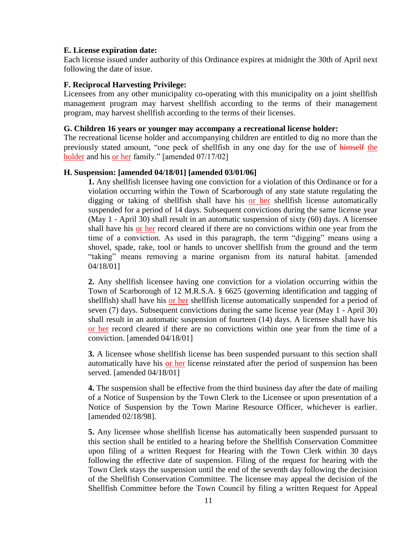## **E. License expiration date:**

Each license issued under authority of this Ordinance expires at midnight the 30th of April next following the date of issue.

## **F. Reciprocal Harvesting Privilege:**

Licensees from any other municipality co-operating with this municipality on a joint shellfish management program may harvest shellfish according to the terms of their management program, may harvest shellfish according to the terms of their licenses.

## **G. Children 16 years or younger may accompany a recreational license holder:**

The recreational license holder and accompanying children are entitled to dig no more than the previously stated amount, "one peck of shellfish in any one day for the use of himself the holder and his <u>or her</u> family." [amended 07/17/02]

## **H. Suspension: [amended 04/18/01] [amended 03/01/06]**

**1.** Any shellfish licensee having one conviction for a violation of this Ordinance or for a violation occurring within the Town of Scarborough of any state statute regulating the digging or taking of shellfish shall have his or her shellfish license automatically suspended for a period of 14 days. Subsequent convictions during the same license year (May 1 - April 30) shall result in an automatic suspension of sixty (60) days. A licensee shall have his or her record cleared if there are no convictions within one year from the time of a conviction. As used in this paragraph, the term "digging" means using a shovel, spade, rake, tool or hands to uncover shellfish from the ground and the term "taking" means removing a marine organism from its natural habitat. [amended 04/18/01]

**2.** Any shellfish licensee having one conviction for a violation occurring within the Town of Scarborough of 12 M.R.S.A. § 6625 (governing identification and tagging of shellfish) shall have his or her shellfish license automatically suspended for a period of seven (7) days. Subsequent convictions during the same license year (May 1 - April 30) shall result in an automatic suspension of fourteen (14) days. A licensee shall have his or her record cleared if there are no convictions within one year from the time of a conviction. [amended 04/18/01]

**3.** A licensee whose shellfish license has been suspended pursuant to this section shall automatically have his or her license reinstated after the period of suspension has been served. [amended 04/18/01]

**4.** The suspension shall be effective from the third business day after the date of mailing of a Notice of Suspension by the Town Clerk to the Licensee or upon presentation of a Notice of Suspension by the Town Marine Resource Officer, whichever is earlier. [amended 02/18/98].

**5.** Any licensee whose shellfish license has automatically been suspended pursuant to this section shall be entitled to a hearing before the Shellfish Conservation Committee upon filing of a written Request for Hearing with the Town Clerk within 30 days following the effective date of suspension. Filing of the request for hearing with the Town Clerk stays the suspension until the end of the seventh day following the decision of the Shellfish Conservation Committee. The licensee may appeal the decision of the Shellfish Committee before the Town Council by filing a written Request for Appeal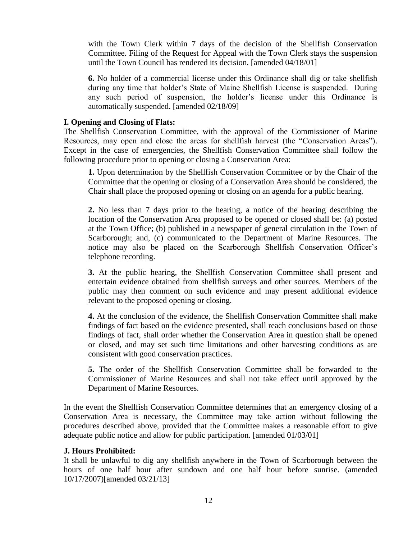with the Town Clerk within 7 days of the decision of the Shellfish Conservation Committee. Filing of the Request for Appeal with the Town Clerk stays the suspension until the Town Council has rendered its decision. [amended 04/18/01]

**6.** No holder of a commercial license under this Ordinance shall dig or take shellfish during any time that holder's State of Maine Shellfish License is suspended. During any such period of suspension, the holder's license under this Ordinance is automatically suspended. [amended 02/18/09]

# **I. Opening and Closing of Flats:**

The Shellfish Conservation Committee, with the approval of the Commissioner of Marine Resources, may open and close the areas for shellfish harvest (the "Conservation Areas"). Except in the case of emergencies, the Shellfish Conservation Committee shall follow the following procedure prior to opening or closing a Conservation Area:

**1.** Upon determination by the Shellfish Conservation Committee or by the Chair of the Committee that the opening or closing of a Conservation Area should be considered, the Chair shall place the proposed opening or closing on an agenda for a public hearing.

**2.** No less than 7 days prior to the hearing, a notice of the hearing describing the location of the Conservation Area proposed to be opened or closed shall be: (a) posted at the Town Office; (b) published in a newspaper of general circulation in the Town of Scarborough; and, (c) communicated to the Department of Marine Resources. The notice may also be placed on the Scarborough Shellfish Conservation Officer's telephone recording.

**3.** At the public hearing, the Shellfish Conservation Committee shall present and entertain evidence obtained from shellfish surveys and other sources. Members of the public may then comment on such evidence and may present additional evidence relevant to the proposed opening or closing.

**4.** At the conclusion of the evidence, the Shellfish Conservation Committee shall make findings of fact based on the evidence presented, shall reach conclusions based on those findings of fact, shall order whether the Conservation Area in question shall be opened or closed, and may set such time limitations and other harvesting conditions as are consistent with good conservation practices.

**5.** The order of the Shellfish Conservation Committee shall be forwarded to the Commissioner of Marine Resources and shall not take effect until approved by the Department of Marine Resources.

In the event the Shellfish Conservation Committee determines that an emergency closing of a Conservation Area is necessary, the Committee may take action without following the procedures described above, provided that the Committee makes a reasonable effort to give adequate public notice and allow for public participation. [amended 01/03/01]

## **J. Hours Prohibited:**

It shall be unlawful to dig any shellfish anywhere in the Town of Scarborough between the hours of one half hour after sundown and one half hour before sunrise. (amended 10/17/2007)[amended 03/21/13]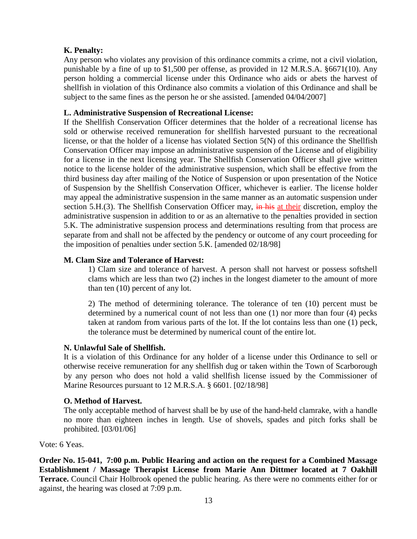# **K. Penalty:**

Any person who violates any provision of this ordinance commits a crime, not a civil violation, punishable by a fine of up to \$1,500 per offense, as provided in 12 M.R.S.A. §6671(10). Any person holding a commercial license under this Ordinance who aids or abets the harvest of shellfish in violation of this Ordinance also commits a violation of this Ordinance and shall be subject to the same fines as the person he or she assisted. [amended 04/04/2007]

## **L. Administrative Suspension of Recreational License:**

If the Shellfish Conservation Officer determines that the holder of a recreational license has sold or otherwise received remuneration for shellfish harvested pursuant to the recreational license, or that the holder of a license has violated Section 5(N) of this ordinance the Shellfish Conservation Officer may impose an administrative suspension of the License and of eligibility for a license in the next licensing year. The Shellfish Conservation Officer shall give written notice to the license holder of the administrative suspension, which shall be effective from the third business day after mailing of the Notice of Suspension or upon presentation of the Notice of Suspension by the Shellfish Conservation Officer, whichever is earlier. The license holder may appeal the administrative suspension in the same manner as an automatic suspension under section 5.H.(3). The Shellfish Conservation Officer may,  $\frac{1}{2}$  in his at their discretion, employ the administrative suspension in addition to or as an alternative to the penalties provided in section 5.K. The administrative suspension process and determinations resulting from that process are separate from and shall not be affected by the pendency or outcome of any court proceeding for the imposition of penalties under section 5.K. [amended 02/18/98]

## **M. Clam Size and Tolerance of Harvest:**

1) Clam size and tolerance of harvest. A person shall not harvest or possess softshell clams which are less than two (2) inches in the longest diameter to the amount of more than ten (10) percent of any lot.

2) The method of determining tolerance. The tolerance of ten (10) percent must be determined by a numerical count of not less than one (1) nor more than four (4) pecks taken at random from various parts of the lot. If the lot contains less than one (1) peck, the tolerance must be determined by numerical count of the entire lot.

## **N. Unlawful Sale of Shellfish.**

It is a violation of this Ordinance for any holder of a license under this Ordinance to sell or otherwise receive remuneration for any shellfish dug or taken within the Town of Scarborough by any person who does not hold a valid shellfish license issued by the Commissioner of Marine Resources pursuant to 12 M.R.S.A. § 6601. [02/18/98]

## **O. Method of Harvest.**

The only acceptable method of harvest shall be by use of the hand-held clamrake, with a handle no more than eighteen inches in length. Use of shovels, spades and pitch forks shall be prohibited. [03/01/06]

Vote: 6 Yeas.

**Order No. 15-041, 7:00 p.m. Public Hearing and action on the request for a Combined Massage Establishment / Massage Therapist License from Marie Ann Dittmer located at 7 Oakhill Terrace.** Council Chair Holbrook opened the public hearing. As there were no comments either for or against, the hearing was closed at 7:09 p.m.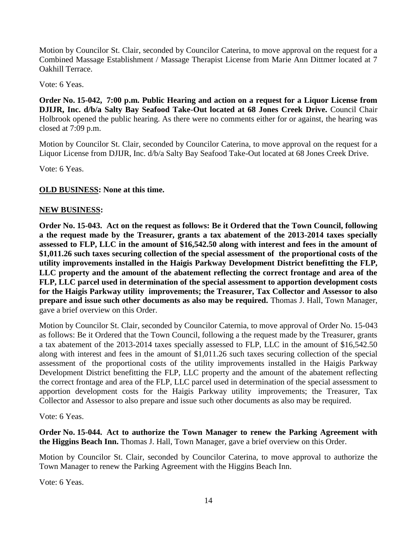Motion by Councilor St. Clair, seconded by Councilor Caterina, to move approval on the request for a Combined Massage Establishment / Massage Therapist License from Marie Ann Dittmer located at 7 Oakhill Terrace.

Vote: 6 Yeas.

**Order No. 15-042, 7:00 p.m. Public Hearing and action on a request for a Liquor License from DJIJR, Inc. d/b/a Salty Bay Seafood Take-Out located at 68 Jones Creek Drive.** Council Chair Holbrook opened the public hearing. As there were no comments either for or against, the hearing was closed at 7:09 p.m.

Motion by Councilor St. Clair, seconded by Councilor Caterina, to move approval on the request for a Liquor License from DJIJR, Inc. d/b/a Salty Bay Seafood Take-Out located at 68 Jones Creek Drive.

Vote: 6 Yeas.

# **OLD BUSINESS: None at this time.**

## **NEW BUSINESS:**

**Order No. 15-043. Act on the request as follows: Be it Ordered that the Town Council, following a the request made by the Treasurer, grants a tax abatement of the 2013-2014 taxes specially assessed to FLP, LLC in the amount of \$16,542.50 along with interest and fees in the amount of \$1,011.26 such taxes securing collection of the special assessment of the proportional costs of the utility improvements installed in the Haigis Parkway Development District benefitting the FLP, LLC property and the amount of the abatement reflecting the correct frontage and area of the FLP, LLC parcel used in determination of the special assessment to apportion development costs for the Haigis Parkway utility improvements; the Treasurer, Tax Collector and Assessor to also prepare and issue such other documents as also may be required.** Thomas J. Hall, Town Manager, gave a brief overview on this Order.

Motion by Councilor St. Clair, seconded by Councilor Caternia, to move approval of Order No. 15-043 as follows: Be it Ordered that the Town Council, following a the request made by the Treasurer, grants a tax abatement of the 2013-2014 taxes specially assessed to FLP, LLC in the amount of \$16,542.50 along with interest and fees in the amount of \$1,011.26 such taxes securing collection of the special assessment of the proportional costs of the utility improvements installed in the Haigis Parkway Development District benefitting the FLP, LLC property and the amount of the abatement reflecting the correct frontage and area of the FLP, LLC parcel used in determination of the special assessment to apportion development costs for the Haigis Parkway utility improvements; the Treasurer, Tax Collector and Assessor to also prepare and issue such other documents as also may be required.

Vote: 6 Yeas.

**Order No. 15-044. Act to authorize the Town Manager to renew the Parking Agreement with the Higgins Beach Inn.** Thomas J. Hall, Town Manager, gave a brief overview on this Order.

Motion by Councilor St. Clair, seconded by Councilor Caterina, to move approval to authorize the Town Manager to renew the Parking Agreement with the Higgins Beach Inn.

Vote: 6 Yeas.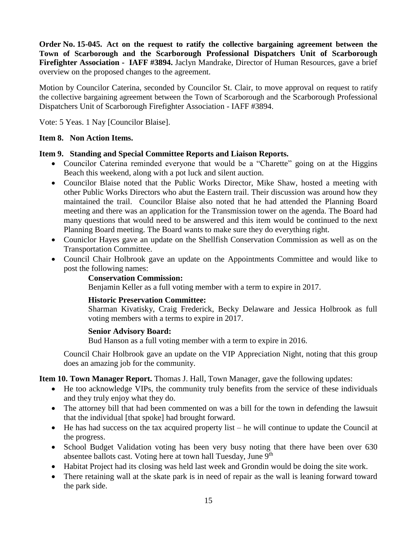**Order No. 15-045. Act on the request to ratify the collective bargaining agreement between the Town of Scarborough and the Scarborough Professional Dispatchers Unit of Scarborough Firefighter Association - IAFF #3894.** Jaclyn Mandrake, Director of Human Resources, gave a brief overview on the proposed changes to the agreement.

Motion by Councilor Caterina, seconded by Councilor St. Clair, to move approval on request to ratify the collective bargaining agreement between the Town of Scarborough and the Scarborough Professional Dispatchers Unit of Scarborough Firefighter Association - IAFF #3894.

Vote: 5 Yeas. 1 Nay [Councilor Blaise].

# **Item 8. Non Action Items.**

# **Item 9. Standing and Special Committee Reports and Liaison Reports.**

- Councilor Caterina reminded everyone that would be a "Charette" going on at the Higgins Beach this weekend, along with a pot luck and silent auction.
- Councilor Blaise noted that the Public Works Director, Mike Shaw, hosted a meeting with other Public Works Directors who abut the Eastern trail. Their discussion was around how they maintained the trail. Councilor Blaise also noted that he had attended the Planning Board meeting and there was an application for the Transmission tower on the agenda. The Board had many questions that would need to be answered and this item would be continued to the next Planning Board meeting. The Board wants to make sure they do everything right.
- Couniclor Hayes gave an update on the Shellfish Conservation Commission as well as on the Transportation Committee.
- Council Chair Holbrook gave an update on the Appointments Committee and would like to post the following names:

# **Conservation Commission:**

Benjamin Keller as a full voting member with a term to expire in 2017.

# **Historic Preservation Committee:**

Sharman Kivatisky, Craig Frederick, Becky Delaware and Jessica Holbrook as full voting members with a terms to expire in 2017.

## **Senior Advisory Board:**

Bud Hanson as a full voting member with a term to expire in 2016.

Council Chair Holbrook gave an update on the VIP Appreciation Night, noting that this group does an amazing job for the community.

**Item 10. Town Manager Report.** Thomas J. Hall, Town Manager, gave the following updates:

- He too acknowledge VIPs, the community truly benefits from the service of these individuals and they truly enjoy what they do.
- The attorney bill that had been commented on was a bill for the town in defending the lawsuit that the individual [that spoke] had brought forward.
- He has had success on the tax acquired property list he will continue to update the Council at the progress.
- School Budget Validation voting has been very busy noting that there have been over 630 absentee ballots cast. Voting here at town hall Tuesday, June 9<sup>th</sup>
- Habitat Project had its closing was held last week and Grondin would be doing the site work.
- There retaining wall at the skate park is in need of repair as the wall is leaning forward toward the park side.